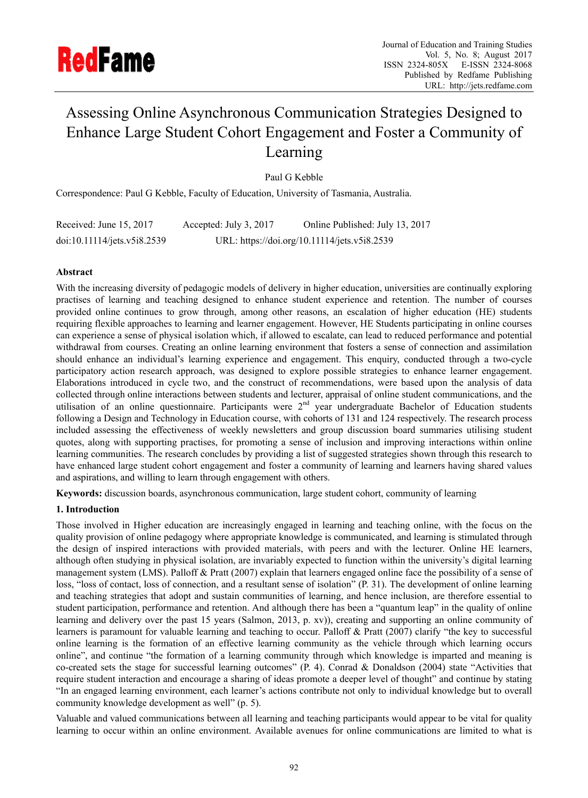

# Assessing Online Asynchronous Communication Strategies Designed to Enhance Large Student Cohort Engagement and Foster a Community of Learning

Paul G Kebble

Correspondence: Paul G Kebble, Faculty of Education, University of Tasmania, Australia.

| Received: June 15, 2017     | Accepted: July 3, 2017 | Online Published: July 13, 2017              |
|-----------------------------|------------------------|----------------------------------------------|
| doi:10.11114/jets.v5i8.2539 |                        | URL: https://doi.org/10.11114/jets.v5i8.2539 |

# **Abstract**

With the increasing diversity of pedagogic models of delivery in higher education, universities are continually exploring practises of learning and teaching designed to enhance student experience and retention. The number of courses provided online continues to grow through, among other reasons, an escalation of higher education (HE) students requiring flexible approaches to learning and learner engagement. However, HE Students participating in online courses can experience a sense of physical isolation which, if allowed to escalate, can lead to reduced performance and potential withdrawal from courses. Creating an online learning environment that fosters a sense of connection and assimilation should enhance an individual's learning experience and engagement. This enquiry, conducted through a two-cycle participatory action research approach, was designed to explore possible strategies to enhance learner engagement. Elaborations introduced in cycle two, and the construct of recommendations, were based upon the analysis of data collected through online interactions between students and lecturer, appraisal of online student communications, and the utilisation of an online questionnaire. Participants were 2<sup>nd</sup> year undergraduate Bachelor of Education students following a Design and Technology in Education course, with cohorts of 131 and 124 respectively. The research process included assessing the effectiveness of weekly newsletters and group discussion board summaries utilising student quotes, along with supporting practises, for promoting a sense of inclusion and improving interactions within online learning communities. The research concludes by providing a list of suggested strategies shown through this research to have enhanced large student cohort engagement and foster a community of learning and learners having shared values and aspirations, and willing to learn through engagement with others.

**Keywords:** discussion boards, asynchronous communication, large student cohort, community of learning

# **1. Introduction**

Those involved in Higher education are increasingly engaged in learning and teaching online, with the focus on the quality provision of online pedagogy where appropriate knowledge is communicated, and learning is stimulated through the design of inspired interactions with provided materials, with peers and with the lecturer. Online HE learners, although often studying in physical isolation, are invariably expected to function within the university's digital learning management system (LMS). Palloff & Pratt (2007) explain that learners engaged online face the possibility of a sense of loss, "loss of contact, loss of connection, and a resultant sense of isolation" (P. 31). The development of online learning and teaching strategies that adopt and sustain communities of learning, and hence inclusion, are therefore essential to student participation, performance and retention. And although there has been a "quantum leap" in the quality of online learning and delivery over the past 15 years (Salmon, 2013, p. xv)), creating and supporting an online community of learners is paramount for valuable learning and teaching to occur. Palloff & Pratt (2007) clarify "the key to successful online learning is the formation of an effective learning community as the vehicle through which learning occurs online", and continue "the formation of a learning community through which knowledge is imparted and meaning is co-created sets the stage for successful learning outcomes" (P. 4). Conrad & Donaldson (2004) state "Activities that require student interaction and encourage a sharing of ideas promote a deeper level of thought" and continue by stating "In an engaged learning environment, each learner's actions contribute not only to individual knowledge but to overall community knowledge development as well" (p. 5).

Valuable and valued communications between all learning and teaching participants would appear to be vital for quality learning to occur within an online environment. Available avenues for online communications are limited to what is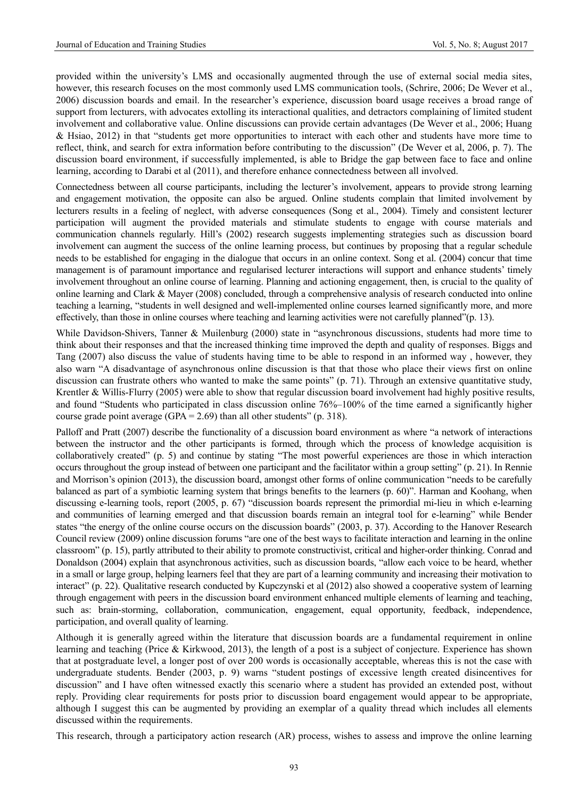provided within the university's LMS and occasionally augmented through the use of external social media sites, however, this research focuses on the most commonly used LMS communication tools, (Schrire, 2006; De Wever et al., 2006) discussion boards and email. In the researcher's experience, discussion board usage receives a broad range of support from lecturers, with advocates extolling its interactional qualities, and detractors complaining of limited student involvement and collaborative value. Online discussions can provide certain advantages (De Wever et al., 2006; Huang & Hsiao, 2012) in that "students get more opportunities to interact with each other and students have more time to reflect, think, and search for extra information before contributing to the discussion" (De Wever et al, 2006, p. 7). The discussion board environment, if successfully implemented, is able to Bridge the gap between face to face and online learning, according to Darabi et al (2011), and therefore enhance connectedness between all involved.

Connectedness between all course participants, including the lecturer's involvement, appears to provide strong learning and engagement motivation, the opposite can also be argued. Online students complain that limited involvement by lecturers results in a feeling of neglect, with adverse consequences (Song et al., 2004). Timely and consistent lecturer participation will augment the provided materials and stimulate students to engage with course materials and communication channels regularly. Hill's (2002) research suggests implementing strategies such as discussion board involvement can augment the success of the online learning process, but continues by proposing that a regular schedule needs to be established for engaging in the dialogue that occurs in an online context. Song et al. (2004) concur that time management is of paramount importance and regularised lecturer interactions will support and enhance students' timely involvement throughout an online course of learning. Planning and actioning engagement, then, is crucial to the quality of online learning and Clark & Mayer (2008) concluded, through a comprehensive analysis of research conducted into online teaching a learning, "students in well designed and well-implemented online courses learned significantly more, and more effectively, than those in online courses where teaching and learning activities were not carefully planned"(p. 13).

While Davidson-Shivers, Tanner & Muilenburg (2000) state in "asynchronous discussions, students had more time to think about their responses and that the increased thinking time improved the depth and quality of responses. Biggs and Tang (2007) also discuss the value of students having time to be able to respond in an informed way , however, they also warn "A disadvantage of asynchronous online discussion is that that those who place their views first on online discussion can frustrate others who wanted to make the same points" (p. 71). Through an extensive quantitative study, Krentler & Willis-Flurry (2005) were able to show that regular discussion board involvement had highly positive results, and found "Students who participated in class discussion online 76%–100% of the time earned a significantly higher course grade point average (GPA =  $2.69$ ) than all other students" (p. 318).

Palloff and Pratt (2007) describe the functionality of a discussion board environment as where "a network of interactions between the instructor and the other participants is formed, through which the process of knowledge acquisition is collaboratively created" (p. 5) and continue by stating "The most powerful experiences are those in which interaction occurs throughout the group instead of between one participant and the facilitator within a group setting" (p. 21). In Rennie and Morrison's opinion (2013), the discussion board, amongst other forms of online communication "needs to be carefully balanced as part of a symbiotic learning system that brings benefits to the learners (p. 60)". Harman and Koohang, when discussing e-learning tools, report (2005, p. 67) "discussion boards represent the primordial mi-lieu in which e-learning and communities of learning emerged and that discussion boards remain an integral tool for e-learning" while Bender states "the energy of the online course occurs on the discussion boards" (2003, p. 37). According to the Hanover Research Council review (2009) online discussion forums "are one of the best ways to facilitate interaction and learning in the online classroom" (p. 15), partly attributed to their ability to promote constructivist, critical and higher-order thinking. Conrad and Donaldson (2004) explain that asynchronous activities, such as discussion boards, "allow each voice to be heard, whether in a small or large group, helping learners feel that they are part of a learning community and increasing their motivation to interact" (p. 22). Qualitative research conducted by Kupczynski et al (2012) also showed a cooperative system of learning through engagement with peers in the discussion board environment enhanced multiple elements of learning and teaching, such as: brain-storming, collaboration, communication, engagement, equal opportunity, feedback, independence, participation, and overall quality of learning.

Although it is generally agreed within the literature that discussion boards are a fundamental requirement in online learning and teaching (Price & Kirkwood, 2013), the length of a post is a subject of conjecture. Experience has shown that at postgraduate level, a longer post of over 200 words is occasionally acceptable, whereas this is not the case with undergraduate students. Bender (2003, p. 9) warns "student postings of excessive length created disincentives for discussion" and I have often witnessed exactly this scenario where a student has provided an extended post, without reply. Providing clear requirements for posts prior to discussion board engagement would appear to be appropriate, although I suggest this can be augmented by providing an exemplar of a quality thread which includes all elements discussed within the requirements.

This research, through a participatory action research (AR) process, wishes to assess and improve the online learning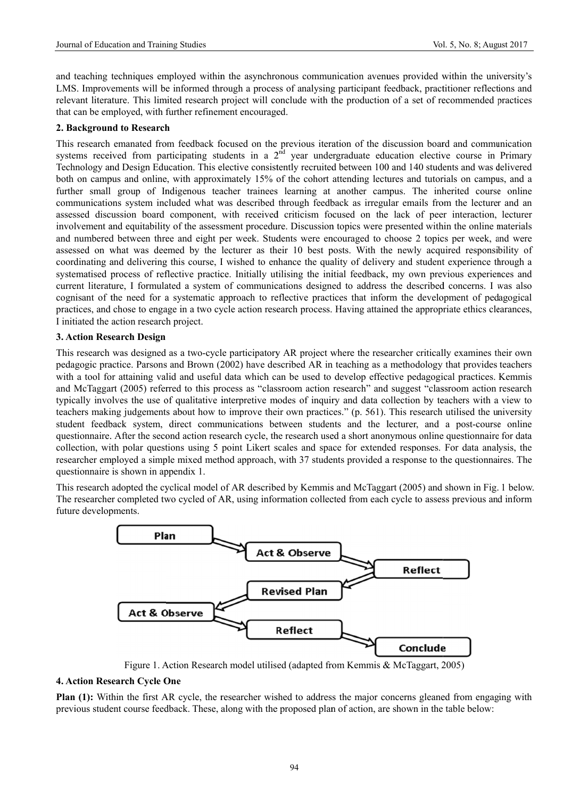and teaching techniques employed within the asynchronous communication avenues provided within the university's LMS. Improvements will be informed through a process of analysing participant feedback, practitioner reflections and relevant literature. This limited research project will conclude with the production of a set of recommended practices that can be employed, with further refinement encouraged.

#### **2. Background to Research**

This research emanated from feedback focused on the previous iteration of the discussion board and communication systems received from participating students in a  $2^{\overline{nd}}$  year undergraduate education elective course in Primary Technology and Design Education. This elective consistently recruited between 100 and 140 students and was delivered both on campus and online, with approximately 15% of the cohort attending lectures and tutorials on campus, and a further small group of Indigenous teacher trainees learning at another campus. The inherited course online communications system included what was described through feedback as irregular emails from the lecturer and an assessed discussion board component, with received criticism focused on the lack of peer interaction, lecturer involvement and equitability of the assessment procedure. Discussion topics were presented within the online materials and numbered between three and eight per week. Students were encouraged to choose 2 topics per week, and were assessed on what was deemed by the lecturer as their 10 best posts. With the newly acquired responsibility of coordinating and delivering this course, I wished to enhance the quality of delivery and student experience through a systematised process of reflective practice. Initially utilising the initial feedback, my own previous experiences and current literature, I formulated a system of communications designed to address the described concerns. I was also cognisant of the need for a systematic approach to reflective practices that inform the development of pedagogical practices, and chose to engage in a two cycle action research process. Having attained the appropriate ethics clearances, I initiated the action research project.

#### **3. Action Research Design**

This research was designed as a two-cycle participatory AR project where the researcher critically examines their own pedagogic practice. Parsons and Brown (2002) have described AR in teaching as a methodology that provides teachers with a tool for attaining valid and useful data which can be used to develop effective pedagogical practices. Kemmis and McTaggart (2005) referred to this process as "classroom action research" and suggest "classroom action research typically involves the use of qualitative interpretive modes of inquiry and data collection by teachers with a view to teachers making judgements about how to improve their own practices." (p. 561). This research utilised the university student feedback system, direct communications between students and the lecturer, and a post-course online questionnaire. After the second action research cycle, the research used a short anonymous online questionnaire for data collection, with polar questions using 5 point Likert scales and space for extended responses. For data analysis, the researcher employed a simple mixed method approach, with 37 students provided a response to the questionnaires. The questionnaire is shown in appendix 1.

This research adopted the cyclical model of AR described by Kemmis and McTaggart (2005) and shown in Fig. 1 below. The researcher completed two cycled of AR, using information collected from each cycle to assess previous and inform future developments.



Figure 1. Action Research model utilised (adapted from Kemmis & McTaggart, 2005)

#### **4. Action Res search Cycle O One**

Plan (1): Within the first AR cycle, the researcher wished to address the major concerns gleaned from engaging with previous student course feedback. These, along with the proposed plan of action, are shown in the table below: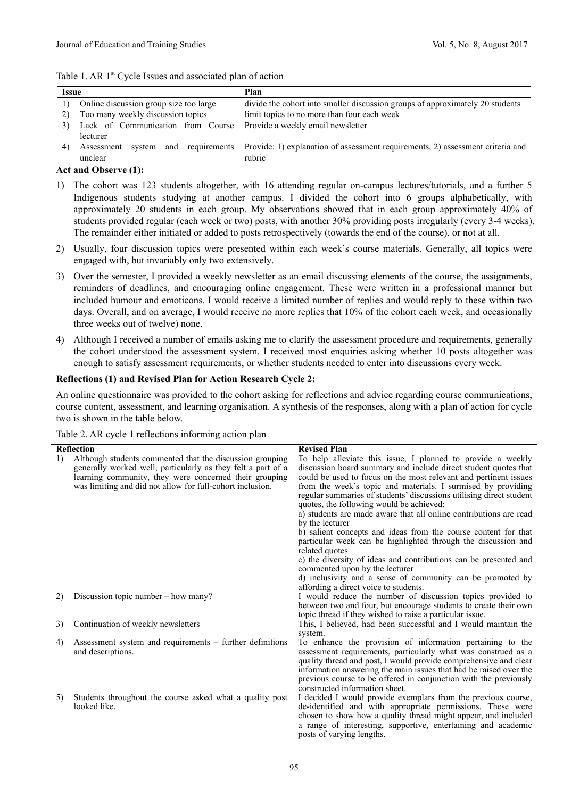|  |  | Table 1. AR 1 <sup>st</sup> Cycle Issues and associated plan of action |
|--|--|------------------------------------------------------------------------|
|--|--|------------------------------------------------------------------------|

| <b>Issue</b>     |                                                                     | Plan                                                                           |  |  |
|------------------|---------------------------------------------------------------------|--------------------------------------------------------------------------------|--|--|
| $\left  \right $ | Online discussion group size too large                              | divide the cohort into smaller discussion groups of approximately 20 students  |  |  |
| 2)               | Too many weekly discussion topics                                   | limit topics to no more than four each week                                    |  |  |
|                  | Lack of Communication from Course Provide a weekly email newsletter |                                                                                |  |  |
|                  | lecturer                                                            |                                                                                |  |  |
|                  | and<br>requirements<br>Assessment<br>svstem                         | Provide: 1) explanation of assessment requirements, 2) assessment criteria and |  |  |
|                  | unclear                                                             | rubric                                                                         |  |  |

# **Act and Observe (1):**

- 1) The cohort was 123 students altogether, with 16 attending regular on-campus lectures/tutorials, and a further 5 Indigenous students studying at another campus. I divided the cohort into 6 groups alphabetically, with approximately 20 students in each group. My observations showed that in each group approximately 40% of students provided regular (each week or two) posts, with another 30% providing posts irregularly (every 3-4 weeks). The remainder either initiated or added to posts retrospectively (towards the end of the course), or not at all.
- 2) Usually, four discussion topics were presented within each week's course materials. Generally, all topics were engaged with, but invariably only two extensively.
- 3) Over the semester, I provided a weekly newsletter as an email discussing elements of the course, the assignments, reminders of deadlines, and encouraging online engagement. These were written in a professional manner but included humour and emoticons. I would receive a limited number of replies and would reply to these within two days. Overall, and on average, I would receive no more replies that 10% of the cohort each week, and occasionally three weeks out of twelve) none.
- 4) Although I received a number of emails asking me to clarify the assessment procedure and requirements, generally the cohort understood the assessment system. I received most enquiries asking whether 10 posts altogether was enough to satisfy assessment requirements, or whether students needed to enter into discussions every week.

# **Reflections (1) and Revised Plan for Action Research Cycle 2:**

An online questionnaire was provided to the cohort asking for reflections and advice regarding course communications, course content, assessment, and learning organisation. A synthesis of the responses, along with a plan of action for cycle two is shown in the table below.

|  |  | Table 2. AR cycle 1 reflections informing action plan |  |  |
|--|--|-------------------------------------------------------|--|--|
|  |  |                                                       |  |  |

|    | <b>Reflection</b>                                            | <b>Revised Plan</b>                                                 |
|----|--------------------------------------------------------------|---------------------------------------------------------------------|
|    |                                                              |                                                                     |
| 1) | Although students commented that the discussion grouping     | To help alleviate this issue, I planned to provide a weekly         |
|    | generally worked well, particularly as they felt a part of a | discussion board summary and include direct student quotes that     |
|    | learning community, they were concerned their grouping       | could be used to focus on the most relevant and pertinent issues    |
|    | was limiting and did not allow for full-cohort inclusion.    | from the week's topic and materials. I surmised by providing        |
|    |                                                              | regular summaries of students' discussions utilising direct student |
|    |                                                              | quotes, the following would be achieved:                            |
|    |                                                              | a) students are made aware that all online contributions are read   |
|    |                                                              | by the lecturer                                                     |
|    |                                                              | b) salient concepts and ideas from the course content for that      |
|    |                                                              | particular week can be highlighted through the discussion and       |
|    |                                                              | related quotes                                                      |
|    |                                                              | c) the diversity of ideas and contributions can be presented and    |
|    |                                                              | commented upon by the lecturer                                      |
|    |                                                              | d) inclusivity and a sense of community can be promoted by          |
|    |                                                              | affording a direct voice to students.                               |
| 2) | Discussion topic number $-$ how many?                        | I would reduce the number of discussion topics provided to          |
|    |                                                              |                                                                     |
|    |                                                              | between two and four, but encourage students to create their own    |
|    |                                                              | topic thread if they wished to raise a particular issue.            |
| 3) | Continuation of weekly newsletters                           | This, I believed, had been successful and I would maintain the      |
|    |                                                              | system.                                                             |
| 4) | Assessment system and requirements – further definitions     | To enhance the provision of information pertaining to the           |
|    | and descriptions.                                            | assessment requirements, particularly what was construed as a       |
|    |                                                              | quality thread and post, I would provide comprehensive and clear    |
|    |                                                              | information answering the main issues that had be raised over the   |
|    |                                                              | previous course to be offered in conjunction with the previously    |
|    |                                                              | constructed information sheet.                                      |
| 5) | Students throughout the course asked what a quality post     | I decided I would provide exemplars from the previous course,       |
|    | looked like.                                                 | de-identified and with appropriate permissions. These were          |
|    |                                                              | chosen to show how a quality thread might appear, and included      |
|    |                                                              | a range of interesting, supportive, entertaining and academic       |
|    |                                                              | posts of varying lengths.                                           |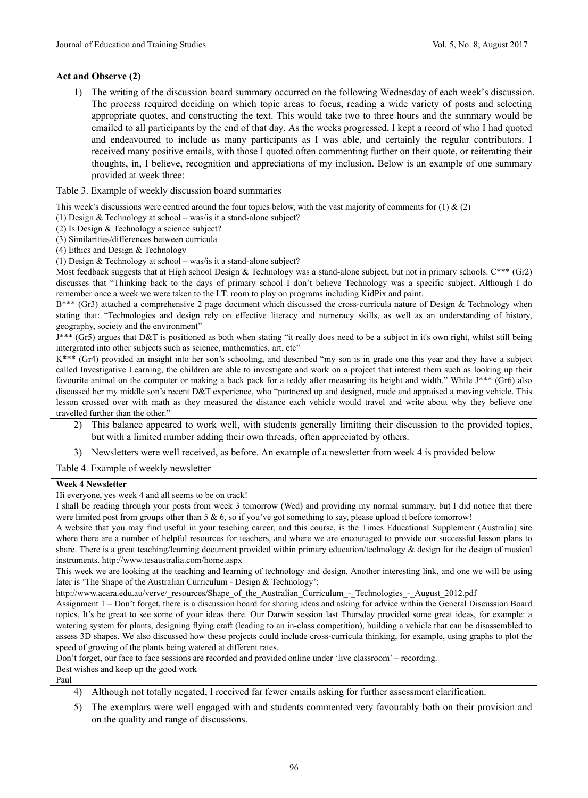# **Act and Observe (2)**

1) The writing of the discussion board summary occurred on the following Wednesday of each week's discussion. The process required deciding on which topic areas to focus, reading a wide variety of posts and selecting appropriate quotes, and constructing the text. This would take two to three hours and the summary would be emailed to all participants by the end of that day. As the weeks progressed, I kept a record of who I had quoted and endeavoured to include as many participants as I was able, and certainly the regular contributors. I received many positive emails, with those I quoted often commenting further on their quote, or reiterating their thoughts, in, I believe, recognition and appreciations of my inclusion. Below is an example of one summary provided at week three:

Table 3. Example of weekly discussion board summaries

This week's discussions were centred around the four topics below, with the vast majority of comments for  $(1) \& (2)$ 

(1) Design & Technology at school – was/is it a stand-alone subject?

- (2) Is Design & Technology a science subject?
- (3) Similarities/differences between curricula
- (4) Ethics and Design & Technology
- (1) Design & Technology at school was/is it a stand-alone subject?

Most feedback suggests that at High school Design & Technology was a stand-alone subject, but not in primary schools.  $C^{***}$  (Gr2) discusses that "Thinking back to the days of primary school I don't believe Technology was a specific subject. Although I do remember once a week we were taken to the I.T. room to play on programs including KidPix and paint.

B\*\*\* (Gr3) attached a comprehensive 2 page document which discussed the cross-curricula nature of Design & Technology when stating that: "Technologies and design rely on effective literacy and numeracy skills, as well as an understanding of history, geography, society and the environment"

J\*\*\* (Gr5) argues that D&T is positioned as both when stating "it really does need to be a subject in it's own right, whilst still being intergrated into other subjects such as science, mathematics, art, etc"

K\*\*\* (Gr4) provided an insight into her son's schooling, and described "my son is in grade one this year and they have a subject called Investigative Learning, the children are able to investigate and work on a project that interest them such as looking up their favourite animal on the computer or making a back pack for a teddy after measuring its height and width." While J\*\*\* (Gr6) also discussed her my middle son's recent D&T experience, who "partnered up and designed, made and appraised a moving vehicle. This lesson crossed over with math as they measured the distance each vehicle would travel and write about why they believe one travelled further than the other."

- 2) This balance appeared to work well, with students generally limiting their discussion to the provided topics, but with a limited number adding their own threads, often appreciated by others.
- 3) Newsletters were well received, as before. An example of a newsletter from week 4 is provided below

Table 4. Example of weekly newsletter

#### **Week 4 Newsletter**

Hi everyone, yes week 4 and all seems to be on track!

I shall be reading through your posts from week 3 tomorrow (Wed) and providing my normal summary, but I did notice that there were limited post from groups other than 5 & 6, so if you've got something to say, please upload it before tomorrow!

A website that you may find useful in your teaching career, and this course, is the Times Educational Supplement (Australia) site where there are a number of helpful resources for teachers, and where we are encouraged to provide our successful lesson plans to share. There is a great teaching/learning document provided within primary education/technology & design for the design of musical instruments. http://www.tesaustralia.com/home.aspx

This week we are looking at the teaching and learning of technology and design. Another interesting link, and one we will be using later is 'The Shape of the Australian Curriculum - Design & Technology':

http://www.acara.edu.au/verve/\_resources/Shape\_of\_the\_Australian\_Curriculum\_-\_Technologies\_-\_August\_2012.pdf

Assignment 1 – Don't forget, there is a discussion board for sharing ideas and asking for advice within the General Discussion Board topics. It's be great to see some of your ideas there. Our Darwin session last Thursday provided some great ideas, for example: a watering system for plants, designing flying craft (leading to an in-class competition), building a vehicle that can be disassembled to assess 3D shapes. We also discussed how these projects could include cross-curricula thinking, for example, using graphs to plot the speed of growing of the plants being watered at different rates.

Don't forget, our face to face sessions are recorded and provided online under 'live classroom' – recording. Best wishes and keep up the good work

Paul

- 4) Although not totally negated, I received far fewer emails asking for further assessment clarification.
- 5) The exemplars were well engaged with and students commented very favourably both on their provision and on the quality and range of discussions.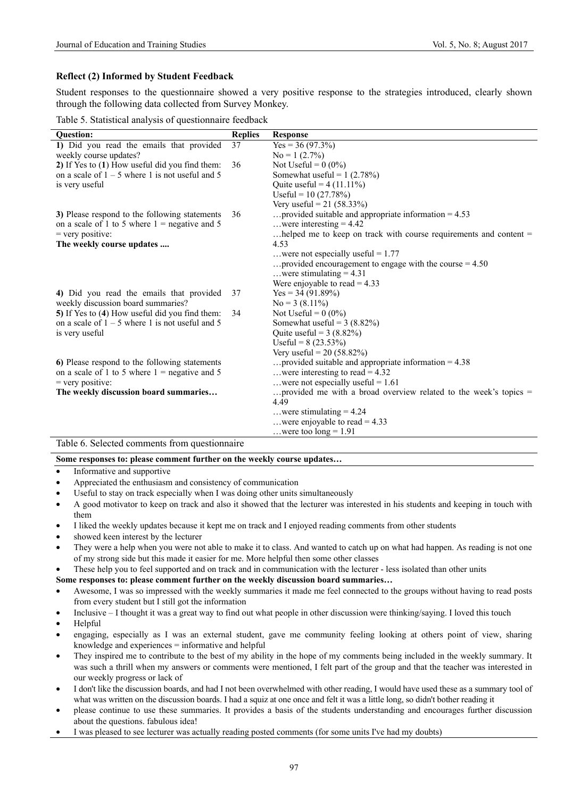## **Reflect (2) Informed by Student Feedback**

Student responses to the questionnaire showed a very positive response to the strategies introduced, clearly shown through the following data collected from Survey Monkey.

| Table 5. Statistical analysis of questionnaire feedback |  |  |
|---------------------------------------------------------|--|--|
|                                                         |  |  |

| <b>Ouestion:</b>                                  | <b>Replies</b> | <b>Response</b>                                                          |
|---------------------------------------------------|----------------|--------------------------------------------------------------------------|
| 1) Did you read the emails that provided          | 37             | $Yes = 36 (97.3\%)$                                                      |
| weekly course updates?                            |                | $No = 1 (2.7\%)$                                                         |
| 2) If Yes to (1) How useful did you find them:    | 36             | Not Useful = $0(0\%)$                                                    |
| on a scale of $1 - 5$ where 1 is not useful and 5 |                | Somewhat useful = $1(2.78%)$                                             |
| is very useful                                    |                | Quite useful = $4(11.11\%)$                                              |
|                                                   |                | Useful = $10(27.78%)$                                                    |
|                                                   |                | Very useful = $21 (58.33\%)$                                             |
| 3) Please respond to the following statements     | 36             | provided suitable and appropriate information $= 4.53$                   |
| on a scale of 1 to 5 where $1 =$ negative and 5   |                | were interesting $= 4.42$                                                |
| $=$ very positive:                                |                | helped me to keep on track with course requirements and content =        |
| The weekly course updates                         |                | 4.53                                                                     |
|                                                   |                | were not especially useful = $1.77$                                      |
|                                                   |                | provided encouragement to engage with the course $= 4.50$                |
|                                                   |                | were stimulating $= 4.31$                                                |
|                                                   |                | Were enjoyable to read = $4.33$                                          |
| 4) Did you read the emails that provided          | 37             | $Yes = 34 (91.89%)$                                                      |
| weekly discussion board summaries?                |                | $No = 3(8.11\%)$                                                         |
| 5) If Yes to (4) How useful did you find them:    | 34             | Not Useful = $0(0\%)$                                                    |
| on a scale of $1 - 5$ where 1 is not useful and 5 |                | Somewhat useful = $3(8.82\%)$                                            |
| is very useful                                    |                | Ouite useful = $3(8.82\%)$                                               |
|                                                   |                | Useful = $8(23.53\%)$                                                    |
|                                                   |                | Very useful = $20(58.82%)$                                               |
| 6) Please respond to the following statements     |                | provided suitable and appropriate information $= 4.38$                   |
| on a scale of 1 to 5 where $1$ = negative and 5   |                | were interesting to read = $4.32$                                        |
| $=$ very positive:                                |                | were not especially useful = $1.61$                                      |
| The weekly discussion board summaries             |                | provided me with a broad overview related to the week's topics =<br>4.49 |
|                                                   |                | were stimulating $= 4.24$                                                |
|                                                   |                | were enjoyable to read = $4.33$                                          |
|                                                   |                | were too $long = 1.91$                                                   |

Table 6. Selected comments from questionnaire

#### **Some responses to: please comment further on the weekly course updates…**

- Informative and supportive
- Appreciated the enthusiasm and consistency of communication
- Useful to stay on track especially when I was doing other units simultaneously
- A good motivator to keep on track and also it showed that the lecturer was interested in his students and keeping in touch with them
- I liked the weekly updates because it kept me on track and I enjoyed reading comments from other students
- showed keen interest by the lecturer
- They were a help when you were not able to make it to class. And wanted to catch up on what had happen. As reading is not one of my strong side but this made it easier for me. More helpful then some other classes
- These help you to feel supported and on track and in communication with the lecturer less isolated than other units

## **Some responses to: please comment further on the weekly discussion board summaries…**

- Awesome, I was so impressed with the weekly summaries it made me feel connected to the groups without having to read posts from every student but I still got the information
- Inclusive I thought it was a great way to find out what people in other discussion were thinking/saying. I loved this touch

• Helpful

- engaging, especially as I was an external student, gave me community feeling looking at others point of view, sharing knowledge and experiences = informative and helpful
- They inspired me to contribute to the best of my ability in the hope of my comments being included in the weekly summary. It was such a thrill when my answers or comments were mentioned, I felt part of the group and that the teacher was interested in our weekly progress or lack of
- I don't like the discussion boards, and had I not been overwhelmed with other reading, I would have used these as a summary tool of what was written on the discussion boards. I had a squiz at one once and felt it was a little long, so didn't bother reading it
- please continue to use these summaries. It provides a basis of the students understanding and encourages further discussion about the questions. fabulous idea!
- I was pleased to see lecturer was actually reading posted comments (for some units I've had my doubts)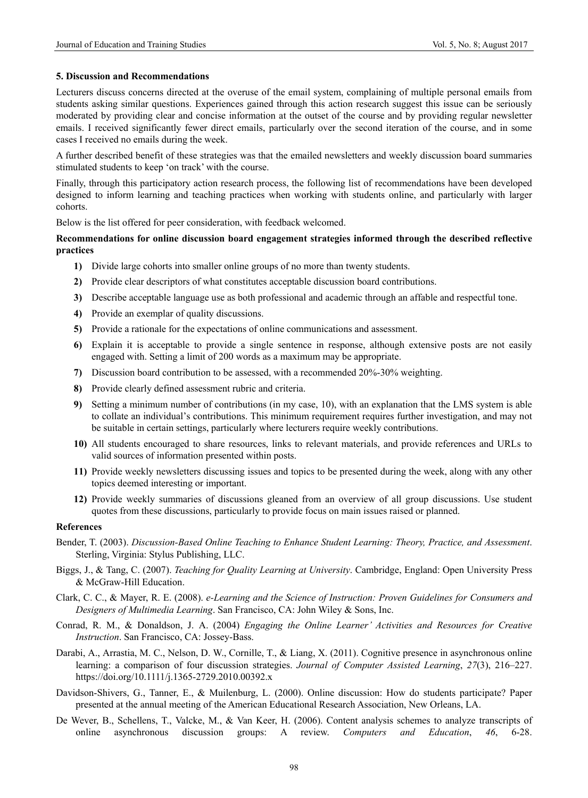#### **5. Discussion and Recommendations**

Lecturers discuss concerns directed at the overuse of the email system, complaining of multiple personal emails from students asking similar questions. Experiences gained through this action research suggest this issue can be seriously moderated by providing clear and concise information at the outset of the course and by providing regular newsletter emails. I received significantly fewer direct emails, particularly over the second iteration of the course, and in some cases I received no emails during the week.

A further described benefit of these strategies was that the emailed newsletters and weekly discussion board summaries stimulated students to keep 'on track' with the course.

Finally, through this participatory action research process, the following list of recommendations have been developed designed to inform learning and teaching practices when working with students online, and particularly with larger cohorts.

Below is the list offered for peer consideration, with feedback welcomed.

# **Recommendations for online discussion board engagement strategies informed through the described reflective practices**

- **1)** Divide large cohorts into smaller online groups of no more than twenty students.
- **2)** Provide clear descriptors of what constitutes acceptable discussion board contributions.
- **3)** Describe acceptable language use as both professional and academic through an affable and respectful tone.
- **4)** Provide an exemplar of quality discussions.
- **5)** Provide a rationale for the expectations of online communications and assessment.
- **6)** Explain it is acceptable to provide a single sentence in response, although extensive posts are not easily engaged with. Setting a limit of 200 words as a maximum may be appropriate.
- **7)** Discussion board contribution to be assessed, with a recommended 20%-30% weighting.
- **8)** Provide clearly defined assessment rubric and criteria.
- **9)** Setting a minimum number of contributions (in my case, 10), with an explanation that the LMS system is able to collate an individual's contributions. This minimum requirement requires further investigation, and may not be suitable in certain settings, particularly where lecturers require weekly contributions.
- **10)** All students encouraged to share resources, links to relevant materials, and provide references and URLs to valid sources of information presented within posts.
- **11)** Provide weekly newsletters discussing issues and topics to be presented during the week, along with any other topics deemed interesting or important.
- **12)** Provide weekly summaries of discussions gleaned from an overview of all group discussions. Use student quotes from these discussions, particularly to provide focus on main issues raised or planned.

#### **References**

- Bender, T. (2003). *Discussion-Based Online Teaching to Enhance Student Learning: Theory, Practice, and Assessment*. Sterling, Virginia: Stylus Publishing, LLC.
- Biggs, J., & Tang, C. (2007). *Teaching for Quality Learning at University*. Cambridge, England: Open University Press & McGraw-Hill Education.
- Clark, C. C., & Mayer, R. E. (2008). *e-Learning and the Science of Instruction: Proven Guidelines for Consumers and Designers of Multimedia Learning*. San Francisco, CA: John Wiley & Sons, Inc.
- Conrad, R. M., & Donaldson, J. A. (2004) *Engaging the Online Learner' Activities and Resources for Creative Instruction*. San Francisco, CA: Jossey-Bass.
- Darabi, A., Arrastia, M. C., Nelson, D. W., Cornille, T., & Liang, X. (2011). Cognitive presence in asynchronous online learning: a comparison of four discussion strategies. *Journal of Computer Assisted Learning*, *27*(3), 216–227. https://doi.org/10.1111/j.1365-2729.2010.00392.x
- Davidson-Shivers, G., Tanner, E., & Muilenburg, L. (2000). Online discussion: How do students participate? Paper presented at the annual meeting of the American Educational Research Association, New Orleans, LA.
- De Wever, B., Schellens, T., Valcke, M., & Van Keer, H. (2006). Content analysis schemes to analyze transcripts of online asynchronous discussion groups: A review. *Computers and Education*, *46*, 6-28.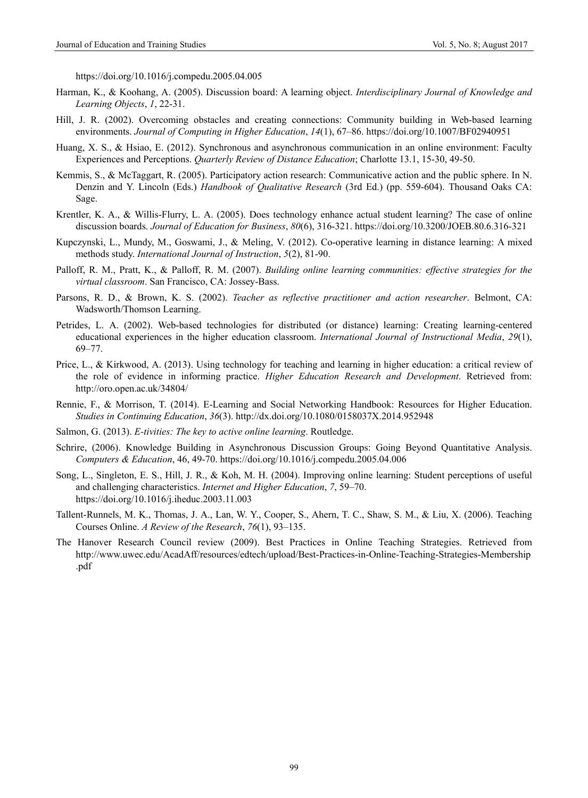https://doi.org/10.1016/j.compedu.2005.04.005

- Harman, K., & Koohang, A. (2005). Discussion board: A learning object. *Interdisciplinary Journal of Knowledge and Learning Objects*, *1*, 22-31.
- Hill, J. R. (2002). Overcoming obstacles and creating connections: Community building in Web-based learning environments. *Journal of Computing in Higher Education*, *14*(1), 67–86. https://doi.org/10.1007/BF02940951
- Huang, X. S., & Hsiao, E. (2012). Synchronous and asynchronous communication in an online environment: Faculty Experiences and Perceptions. *Quarterly Review of Distance Education*; Charlotte 13.1, 15-30, 49-50.
- Kemmis, S., & McTaggart, R. (2005). Participatory action research: Communicative action and the public sphere. In N. Denzin and Y. Lincoln (Eds.) *Handbook of Qualitative Research* (3rd Ed.) (pp. 559-604). Thousand Oaks CA: Sage.
- Krentler, K. A., & Willis-Flurry, L. A. (2005). Does technology enhance actual student learning? The case of online discussion boards. *Journal of Education for Business*, *80*(6), 316-321. https://doi.org/10.3200/JOEB.80.6.316-321
- Kupczynski, L., Mundy, M., Goswami, J., & Meling, V. (2012). Co-operative learning in distance learning: A mixed methods study. *International Journal of Instruction*, *5*(2), 81-90.
- Palloff, R. M., Pratt, K., & Palloff, R. M. (2007). *Building online learning communities: effective strategies for the virtual classroom*. San Francisco, CA: Jossey-Bass.
- Parsons, R. D., & Brown, K. S. (2002). *Teacher as reflective practitioner and action researcher*. Belmont, CA: Wadsworth/Thomson Learning.
- Petrides, L. A. (2002). Web-based technologies for distributed (or distance) learning: Creating learning-centered educational experiences in the higher education classroom. *International Journal of Instructional Media*, *29*(1), 69–77.
- Price, L., & Kirkwood, A. (2013). Using technology for teaching and learning in higher education: a critical review of the role of evidence in informing practice. *Higher Education Research and Development*. Retrieved from: http://oro.open.ac.uk/34804/
- Rennie, F., & Morrison, T. (2014). E-Learning and Social Networking Handbook: Resources for Higher Education. *Studies in Continuing Education*, *36*(3). http://dx.doi.org/10.1080/0158037X.2014.952948
- Salmon, G. (2013). *E-tivities: The key to active online learning*. Routledge.
- Schrire, (2006). Knowledge Building in Asynchronous Discussion Groups: Going Beyond Quantitative Analysis. *Computers & Education*, 46, 49-70. https://doi.org/10.1016/j.compedu.2005.04.006
- Song, L., Singleton, E. S., Hill, J. R., & Koh, M. H. (2004). Improving online learning: Student perceptions of useful and challenging characteristics. *Internet and Higher Education*, *7*, 59–70. https://doi.org/10.1016/j.iheduc.2003.11.003
- Tallent-Runnels, M. K., Thomas, J. A., Lan, W. Y., Cooper, S., Ahern, T. C., Shaw, S. M., & Liu, X. (2006). Teaching Courses Online. *A Review of the Research*, *76*(1), 93–135.
- The Hanover Research Council review (2009). Best Practices in Online Teaching Strategies. Retrieved from http://www.uwec.edu/AcadAff/resources/edtech/upload/Best-Practices-in-Online-Teaching-Strategies-Membership .pdf